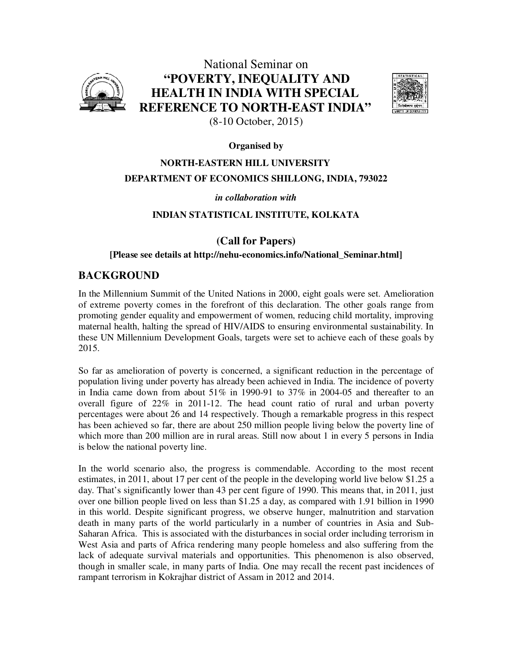

National Seminar on **"POVERTY, INEQUALITY AND HEALTH IN INDIA WITH SPECIAL REFERENCE TO NORTH-EAST INDIA"**  (8-10 October, 2015)



### **Organised by**

# **NORTH-EASTERN HILL UNIVERSITY DEPARTMENT OF ECONOMICS SHILLONG, INDIA, 793022**

### *in collaboration with*

## **INDIAN STATISTICAL INSTITUTE, KOLKATA**

## **(Call for Papers)**

#### **[Please see details at http://nehu-economics.info/National\_Seminar.html]**

## **BACKGROUND**

In the Millennium Summit of the United Nations in 2000, eight goals were set. Amelioration of extreme poverty comes in the forefront of this declaration. The other goals range from promoting gender equality and empowerment of women, reducing child mortality, improving maternal health, halting the spread of HIV/AIDS to ensuring environmental sustainability. In these UN Millennium Development Goals, targets were set to achieve each of these goals by 2015.

So far as amelioration of poverty is concerned, a significant reduction in the percentage of population living under poverty has already been achieved in India. The incidence of poverty in India came down from about 51% in 1990-91 to 37% in 2004-05 and thereafter to an overall figure of 22% in 2011-12. The head count ratio of rural and urban poverty percentages were about 26 and 14 respectively. Though a remarkable progress in this respect has been achieved so far, there are about 250 million people living below the poverty line of which more than 200 million are in rural areas. Still now about 1 in every 5 persons in India is below the national poverty line.

In the world scenario also, the progress is commendable. According to the most recent estimates, in 2011, about 17 per cent of the people in the developing world live below \$1.25 a day. That's significantly lower than 43 per cent figure of 1990. This means that, in 2011, just over one billion people lived on less than \$1.25 a day, as compared with 1.91 billion in 1990 in this world. Despite significant progress, we observe hunger, malnutrition and starvation death in many parts of the world particularly in a number of countries in Asia and Sub-Saharan Africa. This is associated with the disturbances in social order including terrorism in West Asia and parts of Africa rendering many people homeless and also suffering from the lack of adequate survival materials and opportunities. This phenomenon is also observed, though in smaller scale, in many parts of India. One may recall the recent past incidences of rampant terrorism in Kokrajhar district of Assam in 2012 and 2014.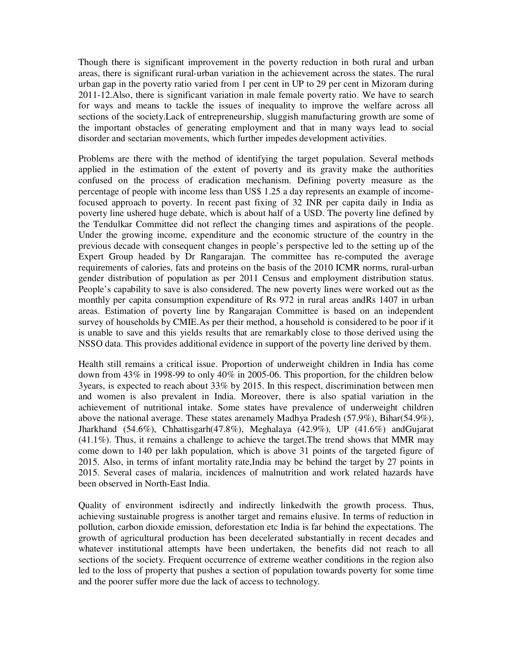Though there is significant improvement in the poverty reduction in both rural and urban areas, there is significant rural-urban variation in the achievement across the states. The rural urban gap in the poverty ratio varied from 1 per cent in UP to 29 per cent in Mizoram during 2011-12.Also, there is significant variation in male female poverty ratio. We have to search for ways and means to tackle the issues of inequality to improve the welfare across all sections of the society.Lack of entrepreneurship, sluggish manufacturing growth are some of the important obstacles of generating employment and that in many ways lead to social disorder and sectarian movements, which further impedes development activities.

Problems are there with the method of identifying the target population. Several methods applied in the estimation of the extent of poverty and its gravity make the authorities confused on the process of eradication mechanism. Defining poverty measure as the percentage of people with income less than US\$ 1.25 a day represents an example of incomefocused approach to poverty. In recent past fixing of 32 INR per capita daily in India as poverty line ushered huge debate, which is about half of a USD. The poverty line defined by the Tendulkar Committee did not reflect the changing times and aspirations of the people. Under the growing income, expenditure and the economic structure of the country in the previous decade with consequent changes in people's perspective led to the setting up of the Expert Group headed by Dr Rangarajan. The committee has re-computed the average requirements of calories, fats and proteins on the basis of the 2010 ICMR norms, rural-urban gender distribution of population as per 2011 Census and employment distribution status. People's capability to save is also considered. The new poverty lines were worked out as the monthly per capita consumption expenditure of Rs 972 in rural areas andRs 1407 in urban areas. Estimation of poverty line by Rangarajan Committee is based on an independent survey of households by CMIE.As per their method, a household is considered to be poor if it is unable to save and this yields results that are remarkably close to those derived using the NSSO data. This provides additional evidence in support of the poverty line derived by them.

Health still remains a critical issue. Proportion of underweight children in India has come down from 43% in 1998-99 to only 40% in 2005-06. This proportion, for the children below 3years, is expected to reach about 33% by 2015. In this respect, discrimination between men and women is also prevalent in India. Moreover, there is also spatial variation in the achievement of nutritional intake. Some states have prevalence of underweight children above the national average. These states arenamely Madhya Pradesh (57.9%), Bihar(54.9%), Jharkhand (54.6%), Chhattisgarh(47.8%), Meghalaya (42.9%), UP (41.6%) andGujarat (41.1%). Thus, it remains a challenge to achieve the target.The trend shows that MMR may come down to 140 per lakh population, which is above 31 points of the targeted figure of 2015. Also, in terms of infant mortality rate,India may be behind the target by 27 points in 2015. Several cases of malaria, incidences of malnutrition and work related hazards have been observed in North-East India.

Quality of environment isdirectly and indirectly linkedwith the growth process. Thus, achieving sustainable progress is another target and remains elusive. In terms of reduction in pollution, carbon dioxide emission, deforestation etc India is far behind the expectations. The growth of agricultural production has been decelerated substantially in recent decades and whatever institutional attempts have been undertaken, the benefits did not reach to all sections of the society. Frequent occurrence of extreme weather conditions in the region also led to the loss of property that pushes a section of population towards poverty for some time and the poorer suffer more due the lack of access to technology.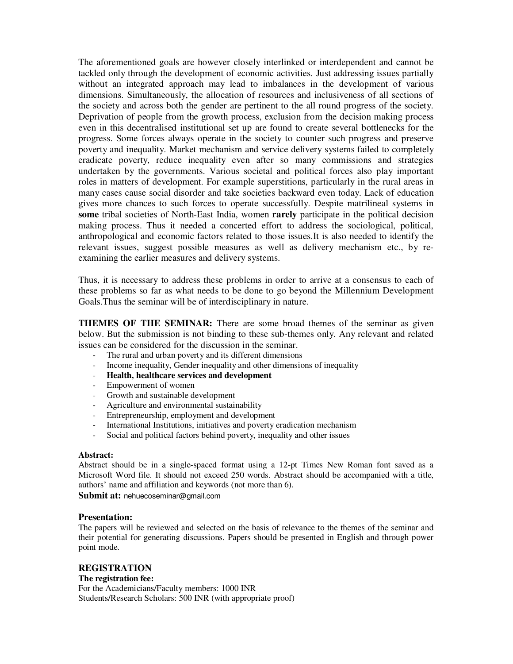The aforementioned goals are however closely interlinked or interdependent and cannot be tackled only through the development of economic activities. Just addressing issues partially without an integrated approach may lead to imbalances in the development of various dimensions. Simultaneously, the allocation of resources and inclusiveness of all sections of the society and across both the gender are pertinent to the all round progress of the society. Deprivation of people from the growth process, exclusion from the decision making process even in this decentralised institutional set up are found to create several bottlenecks for the progress. Some forces always operate in the society to counter such progress and preserve poverty and inequality. Market mechanism and service delivery systems failed to completely eradicate poverty, reduce inequality even after so many commissions and strategies undertaken by the governments. Various societal and political forces also play important roles in matters of development. For example superstitions, particularly in the rural areas in many cases cause social disorder and take societies backward even today. Lack of education gives more chances to such forces to operate successfully. Despite matrilineal systems in **some** tribal societies of North-East India, women **rarely** participate in the political decision making process. Thus it needed a concerted effort to address the sociological, political, anthropological and economic factors related to those issues.It is also needed to identify the relevant issues, suggest possible measures as well as delivery mechanism etc., by reexamining the earlier measures and delivery systems.

Thus, it is necessary to address these problems in order to arrive at a consensus to each of these problems so far as what needs to be done to go beyond the Millennium Development Goals.Thus the seminar will be of interdisciplinary in nature.

**THEMES OF THE SEMINAR:** There are some broad themes of the seminar as given below. But the submission is not binding to these sub-themes only. Any relevant and related issues can be considered for the discussion in the seminar.

- The rural and urban poverty and its different dimensions
- Income inequality, Gender inequality and other dimensions of inequality
- **Health, healthcare services and development**
- Empowerment of women
- Growth and sustainable development
- Agriculture and environmental sustainability
- Entrepreneurship, employment and development
- International Institutions, initiatives and poverty eradication mechanism
- Social and political factors behind poverty, inequality and other issues

#### **Abstract:**

Abstract should be in a single-spaced format using a 12-pt Times New Roman font saved as a Microsoft Word file. It should not exceed 250 words. Abstract should be accompanied with a title, authors' name and affiliation and keywords (not more than 6).

**Submit at:** nehuecoseminar@gmail.com

#### **Presentation:**

The papers will be reviewed and selected on the basis of relevance to the themes of the seminar and their potential for generating discussions. Papers should be presented in English and through power point mode.

#### **REGISTRATION**

#### **The registration fee:**

For the Academicians/Faculty members: 1000 INR Students/Research Scholars: 500 INR (with appropriate proof)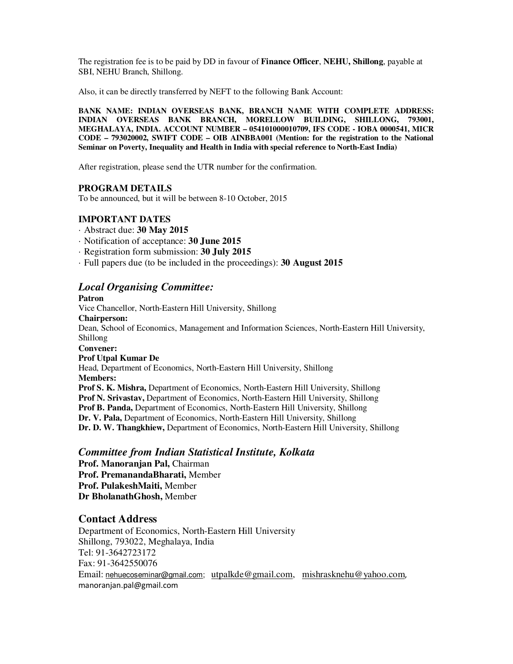The registration fee is to be paid by DD in favour of **Finance Officer**, **NEHU, Shillong**, payable at SBI, NEHU Branch, Shillong.

Also, it can be directly transferred by NEFT to the following Bank Account:

**BANK NAME: INDIAN OVERSEAS BANK, BRANCH NAME WITH COMPLETE ADDRESS: INDIAN OVERSEAS BANK BRANCH, MORELLOW BUILDING, SHILLONG, 793001, MEGHALAYA, INDIA. ACCOUNT NUMBER – 054101000010709, IFS CODE - IOBA 0000541, MICR CODE – 793020002, SWIFT CODE – OIB AINBBA001 (Mention: for the registration to the National Seminar on Poverty, Inequality and Health in India with special reference to North-East India)** 

After registration, please send the UTR number for the confirmation.

#### **PROGRAM DETAILS**

To be announced, but it will be between 8-10 October, 2015

#### **IMPORTANT DATES**

- · Abstract due: **30 May 2015**
- · Notification of acceptance: **30 June 2015**
- · Registration form submission: **30 July 2015**
- · Full papers due (to be included in the proceedings): **30 August 2015**

## *Local Organising Committee:*

#### **Patron**

Vice Chancellor, North-Eastern Hill University, Shillong **Chairperson:**  Dean, School of Economics, Management and Information Sciences, North-Eastern Hill University, Shillong **Convener: Prof Utpal Kumar De**  Head, Department of Economics, North-Eastern Hill University, Shillong **Members: Prof S. K. Mishra,** Department of Economics, North-Eastern Hill University, Shillong **Prof N. Srivastav,** Department of Economics, North-Eastern Hill University, Shillong **Prof B. Panda,** Department of Economics, North-Eastern Hill University, Shillong **Dr. V. Pala,** Department of Economics, North-Eastern Hill University, Shillong **Dr. D. W. Thangkhiew,** Department of Economics, North-Eastern Hill University, Shillong

#### *Committee from Indian Statistical Institute, Kolkata*

**Prof. Manoranjan Pal,** Chairman **Prof. PremanandaBharati,** Member **Prof. PulakeshMaiti,** Member **Dr BholanathGhosh,** Member

### **Contact Address**

Department of Economics, North-Eastern Hill University Shillong, 793022, Meghalaya, India Tel: 91-3642723172 Fax: 91-3642550076 Email: nehuecoseminar@gmail.com; utpalkde@gmail.com, mishrasknehu@yahoo.com, manoranjan.pal@gmail.com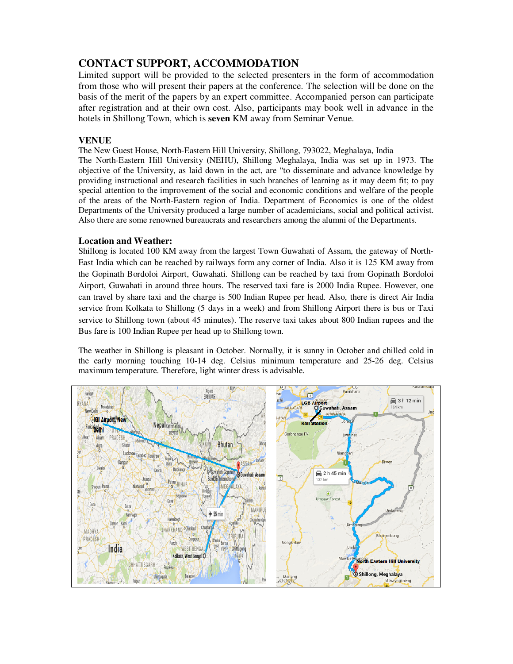## **CONTACT SUPPORT, ACCOMMODATION**

Limited support will be provided to the selected presenters in the form of accommodation from those who will present their papers at the conference. The selection will be done on the basis of the merit of the papers by an expert committee. Accompanied person can participate after registration and at their own cost. Also, participants may book well in advance in the hotels in Shillong Town, which is **seven** KM away from Seminar Venue.

### **VENUE**

The New Guest House, North-Eastern Hill University, Shillong, 793022, Meghalaya, India

The North-Eastern Hill University (NEHU), Shillong Meghalaya, India was set up in 1973. The objective of the University, as laid down in the act, are "to disseminate and advance knowledge by providing instructional and research facilities in such branches of learning as it may deem fit; to pay special attention to the improvement of the social and economic conditions and welfare of the people of the areas of the North-Eastern region of India. Department of Economics is one of the oldest Departments of the University produced a large number of academicians, social and political activist. Also there are some renowned bureaucrats and researchers among the alumni of the Departments.

#### **Location and Weather:**

Shillong is located 100 KM away from the largest Town Guwahati of Assam, the gateway of North-East India which can be reached by railways form any corner of India. Also it is 125 KM away from the Gopinath Bordoloi Airport, Guwahati. Shillong can be reached by taxi from Gopinath Bordoloi Airport, Guwahati in around three hours. The reserved taxi fare is 2000 India Rupee. However, one can travel by share taxi and the charge is 500 Indian Rupee per head. Also, there is direct Air India service from Kolkata to Shillong (5 days in a week) and from Shillong Airport there is bus or Taxi service to Shillong town (about 45 minutes). The reserve taxi takes about 800 Indian rupees and the Bus fare is 100 Indian Rupee per head up to Shillong town.

The weather in Shillong is pleasant in October. Normally, it is sunny in October and chilled cold in the early morning touching 10-14 deg. Celsius minimum temperature and 25-26 deg. Celsius maximum temperature. Therefore, light winter dress is advisable.